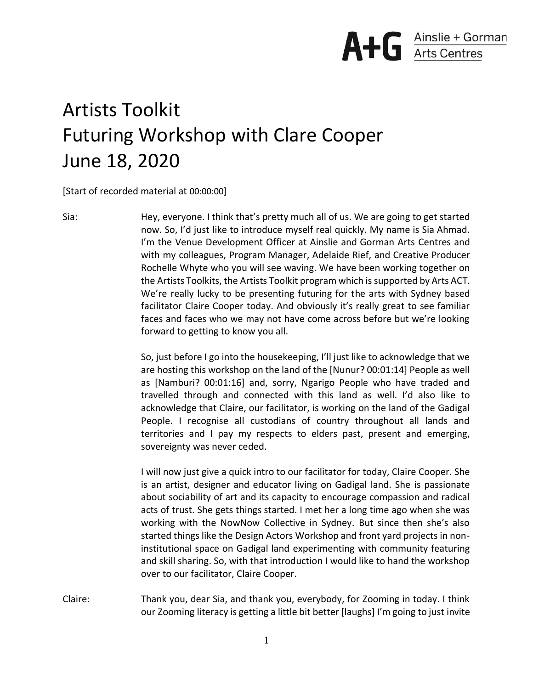

## Artists Toolkit Futuring Workshop with Clare Cooper June 18, 2020

[Start of recorded material at 00:00:00]

Sia: Hey, everyone. I think that's pretty much all of us. We are going to get started now. So, I'd just like to introduce myself real quickly. My name is Sia Ahmad. I'm the Venue Development Officer at Ainslie and Gorman Arts Centres and with my colleagues, Program Manager, Adelaide Rief, and Creative Producer Rochelle Whyte who you will see waving. We have been working together on the Artists Toolkits, the Artists Toolkit program which is supported by Arts ACT. We're really lucky to be presenting futuring for the arts with Sydney based facilitator Claire Cooper today. And obviously it's really great to see familiar faces and faces who we may not have come across before but we're looking forward to getting to know you all.

> So, just before I go into the housekeeping, I'll just like to acknowledge that we are hosting this workshop on the land of the [Nunur? 00:01:14] People as well as [Namburi? 00:01:16] and, sorry, Ngarigo People who have traded and travelled through and connected with this land as well. I'd also like to acknowledge that Claire, our facilitator, is working on the land of the Gadigal People. I recognise all custodians of country throughout all lands and territories and I pay my respects to elders past, present and emerging, sovereignty was never ceded.

> I will now just give a quick intro to our facilitator for today, Claire Cooper. She is an artist, designer and educator living on Gadigal land. She is passionate about sociability of art and its capacity to encourage compassion and radical acts of trust. She gets things started. I met her a long time ago when she was working with the NowNow Collective in Sydney. But since then she's also started things like the Design Actors Workshop and front yard projects in noninstitutional space on Gadigal land experimenting with community featuring and skill sharing. So, with that introduction I would like to hand the workshop over to our facilitator, Claire Cooper.

Claire: Thank you, dear Sia, and thank you, everybody, for Zooming in today. I think our Zooming literacy is getting a little bit better [laughs] I'm going to just invite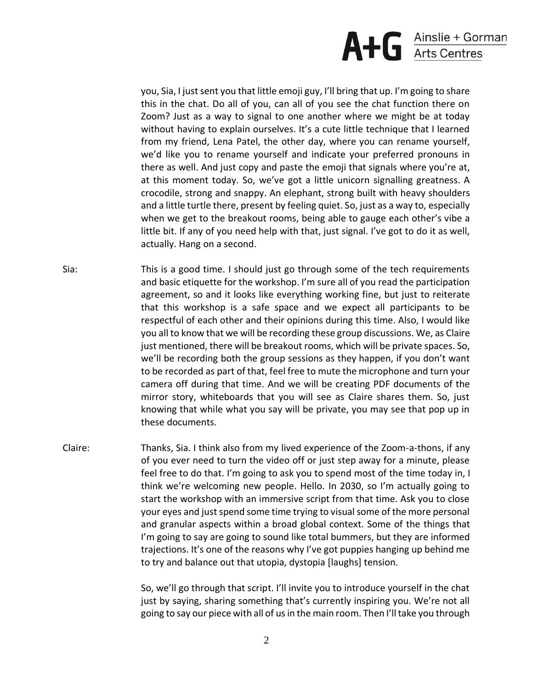

you, Sia, I just sent you that little emoji guy, I'll bring that up. I'm going to share this in the chat. Do all of you, can all of you see the chat function there on Zoom? Just as a way to signal to one another where we might be at today without having to explain ourselves. It's a cute little technique that I learned from my friend, Lena Patel, the other day, where you can rename yourself, we'd like you to rename yourself and indicate your preferred pronouns in there as well. And just copy and paste the emoji that signals where you're at, at this moment today. So, we've got a little unicorn signalling greatness. A crocodile, strong and snappy. An elephant, strong built with heavy shoulders and a little turtle there, present by feeling quiet. So, just as a way to, especially when we get to the breakout rooms, being able to gauge each other's vibe a little bit. If any of you need help with that, just signal. I've got to do it as well, actually. Hang on a second.

- Sia: This is a good time. I should just go through some of the tech requirements and basic etiquette for the workshop. I'm sure all of you read the participation agreement, so and it looks like everything working fine, but just to reiterate that this workshop is a safe space and we expect all participants to be respectful of each other and their opinions during this time. Also, I would like you all to know that we will be recording these group discussions. We, as Claire just mentioned, there will be breakout rooms, which will be private spaces. So, we'll be recording both the group sessions as they happen, if you don't want to be recorded as part of that, feel free to mute the microphone and turn your camera off during that time. And we will be creating PDF documents of the mirror story, whiteboards that you will see as Claire shares them. So, just knowing that while what you say will be private, you may see that pop up in these documents.
- Claire: Thanks, Sia. I think also from my lived experience of the Zoom-a-thons, if any of you ever need to turn the video off or just step away for a minute, please feel free to do that. I'm going to ask you to spend most of the time today in, I think we're welcoming new people. Hello. In 2030, so I'm actually going to start the workshop with an immersive script from that time. Ask you to close your eyes and just spend some time trying to visual some of the more personal and granular aspects within a broad global context. Some of the things that I'm going to say are going to sound like total bummers, but they are informed trajections. It's one of the reasons why I've got puppies hanging up behind me to try and balance out that utopia, dystopia [laughs] tension.

So, we'll go through that script. I'll invite you to introduce yourself in the chat just by saying, sharing something that's currently inspiring you. We're not all going to say our piece with all of us in the main room. Then I'll take you through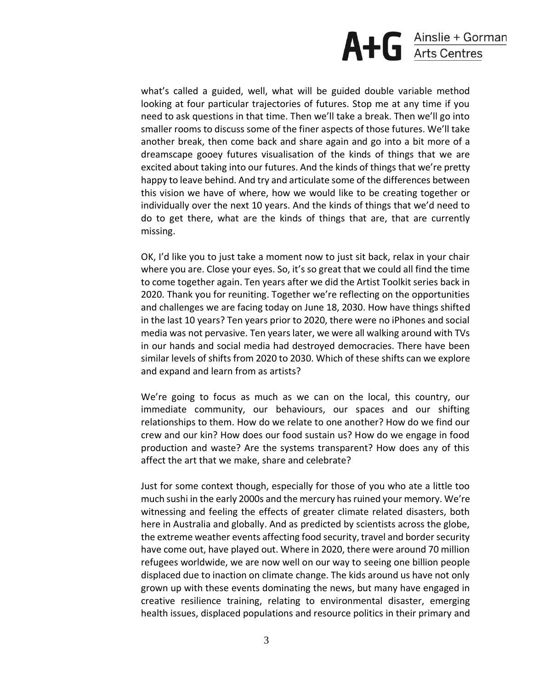

what's called a guided, well, what will be guided double variable method looking at four particular trajectories of futures. Stop me at any time if you need to ask questions in that time. Then we'll take a break. Then we'll go into smaller rooms to discuss some of the finer aspects of those futures. We'll take another break, then come back and share again and go into a bit more of a dreamscape gooey futures visualisation of the kinds of things that we are excited about taking into our futures. And the kinds of things that we're pretty happy to leave behind. And try and articulate some of the differences between this vision we have of where, how we would like to be creating together or individually over the next 10 years. And the kinds of things that we'd need to do to get there, what are the kinds of things that are, that are currently missing.

OK, I'd like you to just take a moment now to just sit back, relax in your chair where you are. Close your eyes. So, it's so great that we could all find the time to come together again. Ten years after we did the Artist Toolkit series back in 2020. Thank you for reuniting. Together we're reflecting on the opportunities and challenges we are facing today on June 18, 2030. How have things shifted in the last 10 years? Ten years prior to 2020, there were no iPhones and social media was not pervasive. Ten years later, we were all walking around with TVs in our hands and social media had destroyed democracies. There have been similar levels of shifts from 2020 to 2030. Which of these shifts can we explore and expand and learn from as artists?

We're going to focus as much as we can on the local, this country, our immediate community, our behaviours, our spaces and our shifting relationships to them. How do we relate to one another? How do we find our crew and our kin? How does our food sustain us? How do we engage in food production and waste? Are the systems transparent? How does any of this affect the art that we make, share and celebrate?

Just for some context though, especially for those of you who ate a little too much sushi in the early 2000s and the mercury has ruined your memory. We're witnessing and feeling the effects of greater climate related disasters, both here in Australia and globally. And as predicted by scientists across the globe, the extreme weather events affecting food security, travel and border security have come out, have played out. Where in 2020, there were around 70 million refugees worldwide, we are now well on our way to seeing one billion people displaced due to inaction on climate change. The kids around us have not only grown up with these events dominating the news, but many have engaged in creative resilience training, relating to environmental disaster, emerging health issues, displaced populations and resource politics in their primary and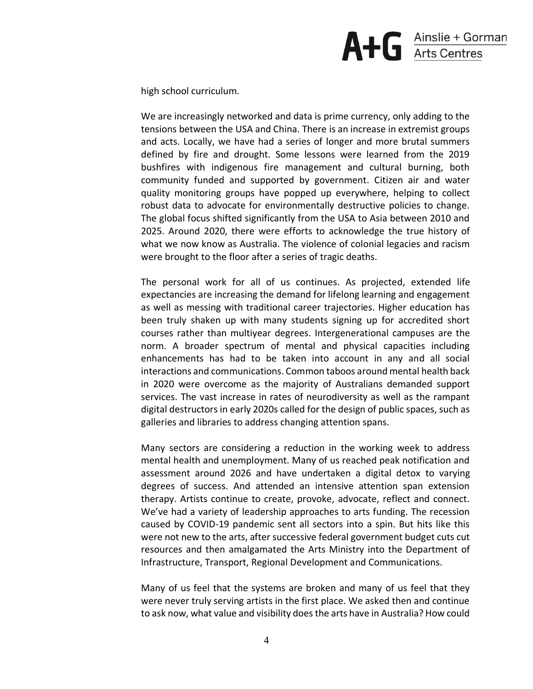

high school curriculum.

We are increasingly networked and data is prime currency, only adding to the tensions between the USA and China. There is an increase in extremist groups and acts. Locally, we have had a series of longer and more brutal summers defined by fire and drought. Some lessons were learned from the 2019 bushfires with indigenous fire management and cultural burning, both community funded and supported by government. Citizen air and water quality monitoring groups have popped up everywhere, helping to collect robust data to advocate for environmentally destructive policies to change. The global focus shifted significantly from the USA to Asia between 2010 and 2025. Around 2020, there were efforts to acknowledge the true history of what we now know as Australia. The violence of colonial legacies and racism were brought to the floor after a series of tragic deaths.

The personal work for all of us continues. As projected, extended life expectancies are increasing the demand for lifelong learning and engagement as well as messing with traditional career trajectories. Higher education has been truly shaken up with many students signing up for accredited short courses rather than multiyear degrees. Intergenerational campuses are the norm. A broader spectrum of mental and physical capacities including enhancements has had to be taken into account in any and all social interactions and communications. Common taboos around mental health back in 2020 were overcome as the majority of Australians demanded support services. The vast increase in rates of neurodiversity as well as the rampant digital destructors in early 2020s called for the design of public spaces, such as galleries and libraries to address changing attention spans.

Many sectors are considering a reduction in the working week to address mental health and unemployment. Many of us reached peak notification and assessment around 2026 and have undertaken a digital detox to varying degrees of success. And attended an intensive attention span extension therapy. Artists continue to create, provoke, advocate, reflect and connect. We've had a variety of leadership approaches to arts funding. The recession caused by COVID-19 pandemic sent all sectors into a spin. But hits like this were not new to the arts, after successive federal government budget cuts cut resources and then amalgamated the Arts Ministry into the Department of Infrastructure, Transport, Regional Development and Communications.

Many of us feel that the systems are broken and many of us feel that they were never truly serving artists in the first place. We asked then and continue to ask now, what value and visibility does the arts have in Australia? How could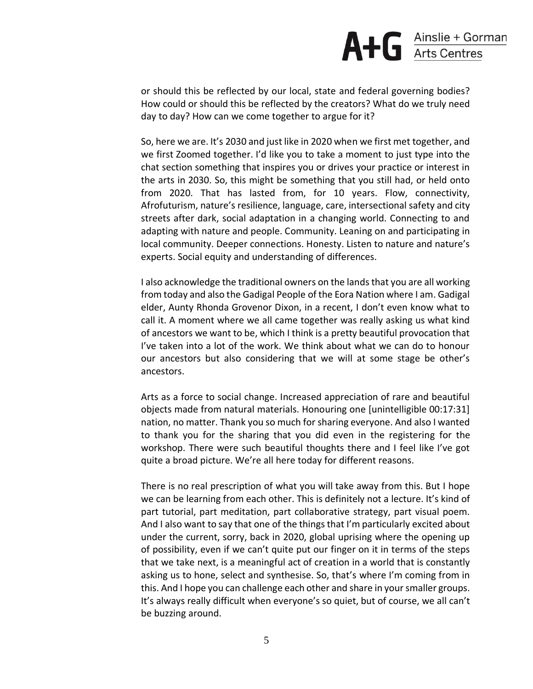or should this be reflected by our local, state and federal governing bodies? How could or should this be reflected by the creators? What do we truly need day to day? How can we come together to argue for it?

So, here we are. It's 2030 and just like in 2020 when we first met together, and we first Zoomed together. I'd like you to take a moment to just type into the chat section something that inspires you or drives your practice or interest in the arts in 2030. So, this might be something that you still had, or held onto from 2020. That has lasted from, for 10 years. Flow, connectivity, Afrofuturism, nature's resilience, language, care, intersectional safety and city streets after dark, social adaptation in a changing world. Connecting to and adapting with nature and people. Community. Leaning on and participating in local community. Deeper connections. Honesty. Listen to nature and nature's experts. Social equity and understanding of differences.

I also acknowledge the traditional owners on the lands that you are all working from today and also the Gadigal People of the Eora Nation where I am. Gadigal elder, Aunty Rhonda Grovenor Dixon, in a recent, I don't even know what to call it. A moment where we all came together was really asking us what kind of ancestors we want to be, which I think is a pretty beautiful provocation that I've taken into a lot of the work. We think about what we can do to honour our ancestors but also considering that we will at some stage be other's ancestors.

Arts as a force to social change. Increased appreciation of rare and beautiful objects made from natural materials. Honouring one [unintelligible 00:17:31] nation, no matter. Thank you so much for sharing everyone. And also I wanted to thank you for the sharing that you did even in the registering for the workshop. There were such beautiful thoughts there and I feel like I've got quite a broad picture. We're all here today for different reasons.

There is no real prescription of what you will take away from this. But I hope we can be learning from each other. This is definitely not a lecture. It's kind of part tutorial, part meditation, part collaborative strategy, part visual poem. And I also want to say that one of the things that I'm particularly excited about under the current, sorry, back in 2020, global uprising where the opening up of possibility, even if we can't quite put our finger on it in terms of the steps that we take next, is a meaningful act of creation in a world that is constantly asking us to hone, select and synthesise. So, that's where I'm coming from in this. And I hope you can challenge each other and share in your smaller groups. It's always really difficult when everyone's so quiet, but of course, we all can't be buzzing around.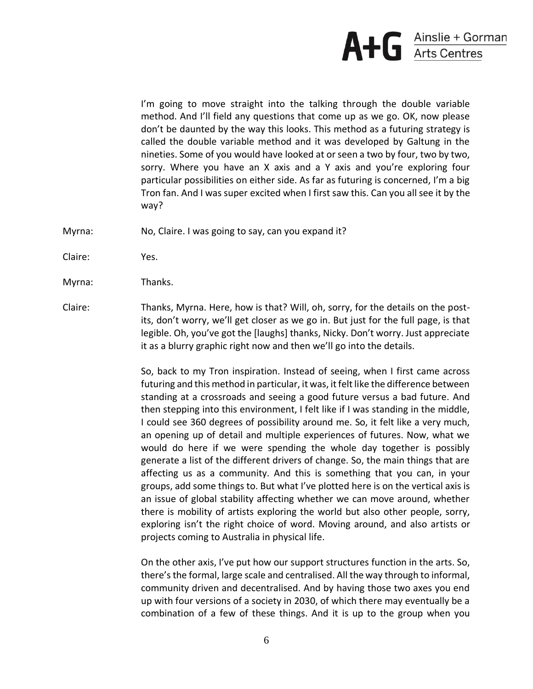

I'm going to move straight into the talking through the double variable method. And I'll field any questions that come up as we go. OK, now please don't be daunted by the way this looks. This method as a futuring strategy is called the double variable method and it was developed by Galtung in the nineties. Some of you would have looked at or seen a two by four, two by two, sorry. Where you have an X axis and a Y axis and you're exploring four particular possibilities on either side. As far as futuring is concerned, I'm a big Tron fan. And I was super excited when I first saw this. Can you all see it by the way?

- Myrna: No, Claire. I was going to say, can you expand it?
- Claire: Yes.
- Myrna: Thanks.
- Claire: Thanks, Myrna. Here, how is that? Will, oh, sorry, for the details on the postits, don't worry, we'll get closer as we go in. But just for the full page, is that legible. Oh, you've got the [laughs] thanks, Nicky. Don't worry. Just appreciate it as a blurry graphic right now and then we'll go into the details.

So, back to my Tron inspiration. Instead of seeing, when I first came across futuring and this method in particular, it was, it felt like the difference between standing at a crossroads and seeing a good future versus a bad future. And then stepping into this environment, I felt like if I was standing in the middle, I could see 360 degrees of possibility around me. So, it felt like a very much, an opening up of detail and multiple experiences of futures. Now, what we would do here if we were spending the whole day together is possibly generate a list of the different drivers of change. So, the main things that are affecting us as a community. And this is something that you can, in your groups, add some things to. But what I've plotted here is on the vertical axis is an issue of global stability affecting whether we can move around, whether there is mobility of artists exploring the world but also other people, sorry, exploring isn't the right choice of word. Moving around, and also artists or projects coming to Australia in physical life.

On the other axis, I've put how our support structures function in the arts. So, there's the formal, large scale and centralised. All the way through to informal, community driven and decentralised. And by having those two axes you end up with four versions of a society in 2030, of which there may eventually be a combination of a few of these things. And it is up to the group when you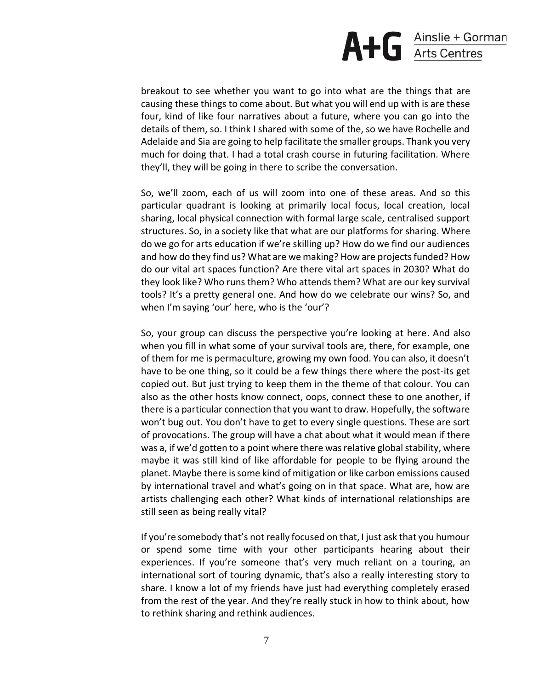

breakout to see whether you want to go into what are the things that are causing these things to come about. But what you will end up with is are these four, kind of like four narratives about a future, where you can go into the details of them, so. I think I shared with some of the, so we have Rochelle and Adelaide and Sia are going to help facilitate the smaller groups. Thank you very much for doing that. I had a total crash course in futuring facilitation. Where they'll, they will be going in there to scribe the conversation.

So, we'll zoom, each of us will zoom into one of these areas. And so this particular quadrant is looking at primarily local focus, local creation, local sharing, local physical connection with formal large scale, centralised support structures. So, in a society like that what are our platforms for sharing. Where do we go for arts education if we're skilling up? How do we find our audiences and how do they find us? What are we making? How are projects funded? How do our vital art spaces function? Are there vital art spaces in 2030? What do they look like? Who runs them? Who attends them? What are our key survival tools? It's a pretty general one. And how do we celebrate our wins? So, and when I'm saying 'our' here, who is the 'our'?

So, your group can discuss the perspective you're looking at here. And also when you fill in what some of your survival tools are, there, for example, one of them for me is permaculture, growing my own food. You can also, it doesn't have to be one thing, so it could be a few things there where the post-its get copied out. But just trying to keep them in the theme of that colour. You can also as the other hosts know connect, oops, connect these to one another, if there is a particular connection that you want to draw. Hopefully, the software won't bug out. You don't have to get to every single questions. These are sort of provocations. The group will have a chat about what it would mean if there was a, if we'd gotten to a point where there was relative global stability, where maybe it was still kind of like affordable for people to be flying around the planet. Maybe there is some kind of mitigation or like carbon emissions caused by international travel and what's going on in that space. What are, how are artists challenging each other? What kinds of international relationships are still seen as being really vital?

If you're somebody that's not really focused on that, I just ask that you humour or spend some time with your other participants hearing about their experiences. If you're someone that's very much reliant on a touring, an international sort of touring dynamic, that's also a really interesting story to share. I know a lot of my friends have just had everything completely erased from the rest of the year. And they're really stuck in how to think about, how to rethink sharing and rethink audiences.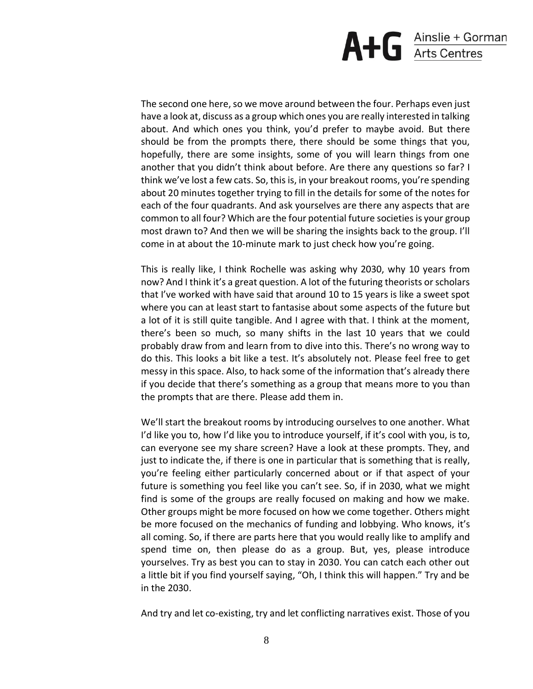

The second one here, so we move around between the four. Perhaps even just have a look at, discuss as a group which ones you are really interested in talking about. And which ones you think, you'd prefer to maybe avoid. But there should be from the prompts there, there should be some things that you, hopefully, there are some insights, some of you will learn things from one another that you didn't think about before. Are there any questions so far? I think we've lost a few cats. So, this is, in your breakout rooms, you're spending about 20 minutes together trying to fill in the details for some of the notes for each of the four quadrants. And ask yourselves are there any aspects that are common to all four? Which are the four potential future societies is your group most drawn to? And then we will be sharing the insights back to the group. I'll come in at about the 10-minute mark to just check how you're going.

This is really like, I think Rochelle was asking why 2030, why 10 years from now? And I think it's a great question. A lot of the futuring theorists or scholars that I've worked with have said that around 10 to 15 years is like a sweet spot where you can at least start to fantasise about some aspects of the future but a lot of it is still quite tangible. And I agree with that. I think at the moment, there's been so much, so many shifts in the last 10 years that we could probably draw from and learn from to dive into this. There's no wrong way to do this. This looks a bit like a test. It's absolutely not. Please feel free to get messy in this space. Also, to hack some of the information that's already there if you decide that there's something as a group that means more to you than the prompts that are there. Please add them in.

We'll start the breakout rooms by introducing ourselves to one another. What I'd like you to, how I'd like you to introduce yourself, if it's cool with you, is to, can everyone see my share screen? Have a look at these prompts. They, and just to indicate the, if there is one in particular that is something that is really, you're feeling either particularly concerned about or if that aspect of your future is something you feel like you can't see. So, if in 2030, what we might find is some of the groups are really focused on making and how we make. Other groups might be more focused on how we come together. Others might be more focused on the mechanics of funding and lobbying. Who knows, it's all coming. So, if there are parts here that you would really like to amplify and spend time on, then please do as a group. But, yes, please introduce yourselves. Try as best you can to stay in 2030. You can catch each other out a little bit if you find yourself saying, "Oh, I think this will happen." Try and be in the 2030.

And try and let co-existing, try and let conflicting narratives exist. Those of you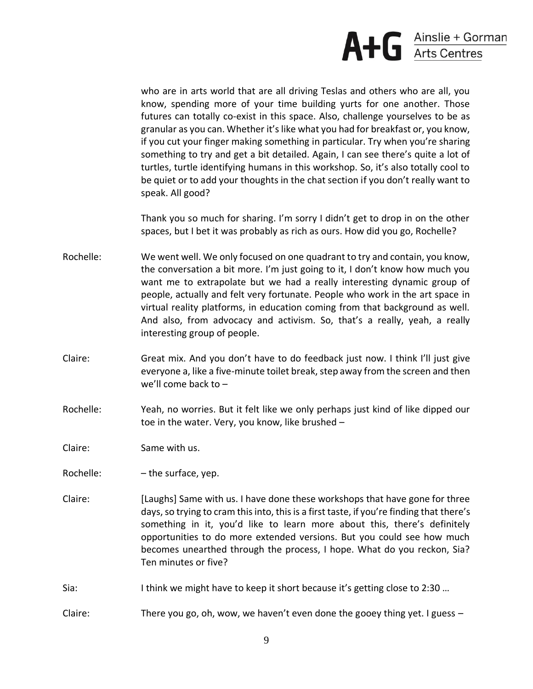

who are in arts world that are all driving Teslas and others who are all, you know, spending more of your time building yurts for one another. Those futures can totally co-exist in this space. Also, challenge yourselves to be as granular as you can. Whether it's like what you had for breakfast or, you know, if you cut your finger making something in particular. Try when you're sharing something to try and get a bit detailed. Again, I can see there's quite a lot of turtles, turtle identifying humans in this workshop. So, it's also totally cool to be quiet or to add your thoughts in the chat section if you don't really want to speak. All good?

Thank you so much for sharing. I'm sorry I didn't get to drop in on the other spaces, but I bet it was probably as rich as ours. How did you go, Rochelle?

- Rochelle: We went well. We only focused on one quadrant to try and contain, you know, the conversation a bit more. I'm just going to it, I don't know how much you want me to extrapolate but we had a really interesting dynamic group of people, actually and felt very fortunate. People who work in the art space in virtual reality platforms, in education coming from that background as well. And also, from advocacy and activism. So, that's a really, yeah, a really interesting group of people.
- Claire: Great mix. And you don't have to do feedback just now. I think I'll just give everyone a, like a five-minute toilet break, step away from the screen and then we'll come back to –
- Rochelle: Yeah, no worries. But it felt like we only perhaps just kind of like dipped our toe in the water. Very, you know, like brushed –

Claire: Same with us.

Rochelle:  $-$  the surface, yep.

- Claire: [Laughs] Same with us. I have done these workshops that have gone for three days, so trying to cram this into, this is a first taste, if you're finding that there's something in it, you'd like to learn more about this, there's definitely opportunities to do more extended versions. But you could see how much becomes unearthed through the process, I hope. What do you reckon, Sia? Ten minutes or five?
- Sia: I think we might have to keep it short because it's getting close to 2:30 …

Claire: There you go, oh, wow, we haven't even done the gooey thing yet. I guess –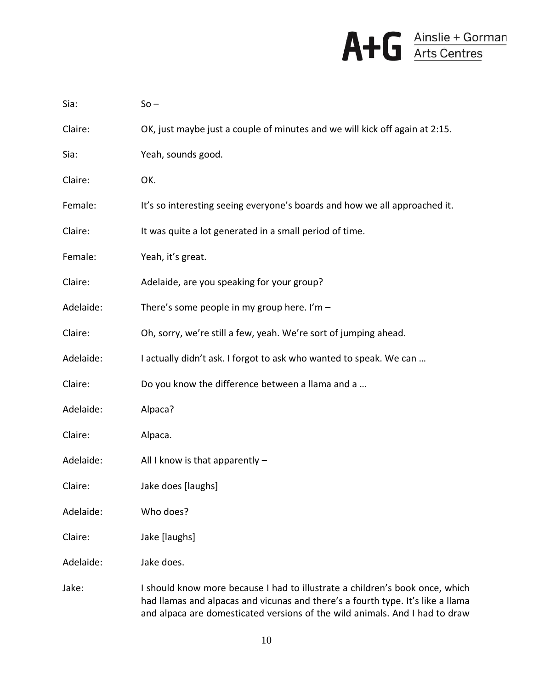

| Sia:      | $So -$                                                                      |
|-----------|-----------------------------------------------------------------------------|
| Claire:   | OK, just maybe just a couple of minutes and we will kick off again at 2:15. |
| Sia:      | Yeah, sounds good.                                                          |
| Claire:   | OK.                                                                         |
| Female:   | It's so interesting seeing everyone's boards and how we all approached it.  |
| Claire:   | It was quite a lot generated in a small period of time.                     |
| Female:   | Yeah, it's great.                                                           |
| Claire:   | Adelaide, are you speaking for your group?                                  |
| Adelaide: | There's some people in my group here. I'm $-$                               |
| Claire:   | Oh, sorry, we're still a few, yeah. We're sort of jumping ahead.            |
| Adelaide: | I actually didn't ask. I forgot to ask who wanted to speak. We can          |
| Claire:   | Do you know the difference between a llama and a                            |
| Adelaide: | Alpaca?                                                                     |
| Claire:   | Alpaca.                                                                     |
| Adelaide: | All I know is that apparently $-$                                           |
| Claire:   | Jake does [laughs]                                                          |
| Adelaide: | Who does?                                                                   |
| Claire:   | Jake [laughs]                                                               |
| Adelaide: | Jake does.                                                                  |
|           |                                                                             |

Jake: I should know more because I had to illustrate a children's book once, which had llamas and alpacas and vicunas and there's a fourth type. It's like a llama and alpaca are domesticated versions of the wild animals. And I had to draw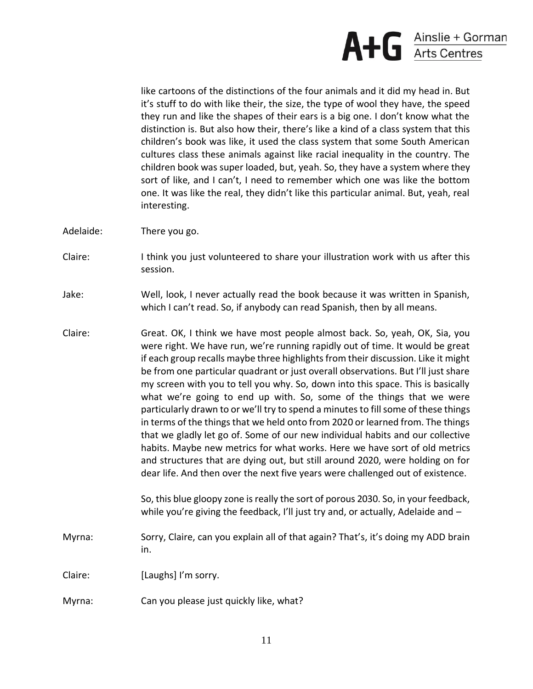

like cartoons of the distinctions of the four animals and it did my head in. But it's stuff to do with like their, the size, the type of wool they have, the speed they run and like the shapes of their ears is a big one. I don't know what the distinction is. But also how their, there's like a kind of a class system that this children's book was like, it used the class system that some South American cultures class these animals against like racial inequality in the country. The children book was super loaded, but, yeah. So, they have a system where they sort of like, and I can't, I need to remember which one was like the bottom one. It was like the real, they didn't like this particular animal. But, yeah, real interesting.

- Adelaide: There you go.
- Claire: I think you just volunteered to share your illustration work with us after this session.
- Jake: Well, look, I never actually read the book because it was written in Spanish, which I can't read. So, if anybody can read Spanish, then by all means.
- Claire: Great. OK, I think we have most people almost back. So, yeah, OK, Sia, you were right. We have run, we're running rapidly out of time. It would be great if each group recalls maybe three highlights from their discussion. Like it might be from one particular quadrant or just overall observations. But I'll just share my screen with you to tell you why. So, down into this space. This is basically what we're going to end up with. So, some of the things that we were particularly drawn to or we'll try to spend a minutes to fill some of these things in terms of the things that we held onto from 2020 or learned from. The things that we gladly let go of. Some of our new individual habits and our collective habits. Maybe new metrics for what works. Here we have sort of old metrics and structures that are dying out, but still around 2020, were holding on for dear life. And then over the next five years were challenged out of existence.

So, this blue gloopy zone is really the sort of porous 2030. So, in your feedback, while you're giving the feedback, I'll just try and, or actually, Adelaide and -

- Myrna: Sorry, Claire, can you explain all of that again? That's, it's doing my ADD brain in.
- Claire: [Laughs] I'm sorry.
- Myrna: Can you please just quickly like, what?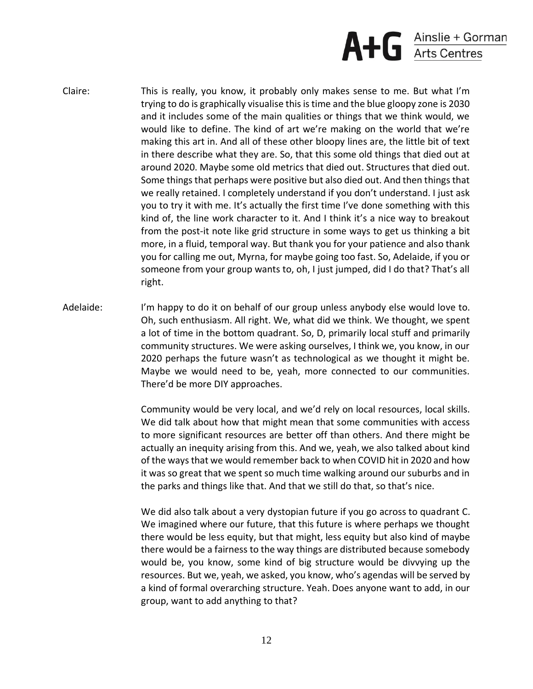

- Claire: This is really, you know, it probably only makes sense to me. But what I'm trying to do is graphically visualise this is time and the blue gloopy zone is 2030 and it includes some of the main qualities or things that we think would, we would like to define. The kind of art we're making on the world that we're making this art in. And all of these other bloopy lines are, the little bit of text in there describe what they are. So, that this some old things that died out at around 2020. Maybe some old metrics that died out. Structures that died out. Some things that perhaps were positive but also died out. And then things that we really retained. I completely understand if you don't understand. I just ask you to try it with me. It's actually the first time I've done something with this kind of, the line work character to it. And I think it's a nice way to breakout from the post-it note like grid structure in some ways to get us thinking a bit more, in a fluid, temporal way. But thank you for your patience and also thank you for calling me out, Myrna, for maybe going too fast. So, Adelaide, if you or someone from your group wants to, oh, I just jumped, did I do that? That's all right.
- Adelaide: I'm happy to do it on behalf of our group unless anybody else would love to. Oh, such enthusiasm. All right. We, what did we think. We thought, we spent a lot of time in the bottom quadrant. So, D, primarily local stuff and primarily community structures. We were asking ourselves, I think we, you know, in our 2020 perhaps the future wasn't as technological as we thought it might be. Maybe we would need to be, yeah, more connected to our communities. There'd be more DIY approaches.

Community would be very local, and we'd rely on local resources, local skills. We did talk about how that might mean that some communities with access to more significant resources are better off than others. And there might be actually an inequity arising from this. And we, yeah, we also talked about kind of the ways that we would remember back to when COVID hit in 2020 and how it was so great that we spent so much time walking around our suburbs and in the parks and things like that. And that we still do that, so that's nice.

We did also talk about a very dystopian future if you go across to quadrant C. We imagined where our future, that this future is where perhaps we thought there would be less equity, but that might, less equity but also kind of maybe there would be a fairness to the way things are distributed because somebody would be, you know, some kind of big structure would be divvying up the resources. But we, yeah, we asked, you know, who's agendas will be served by a kind of formal overarching structure. Yeah. Does anyone want to add, in our group, want to add anything to that?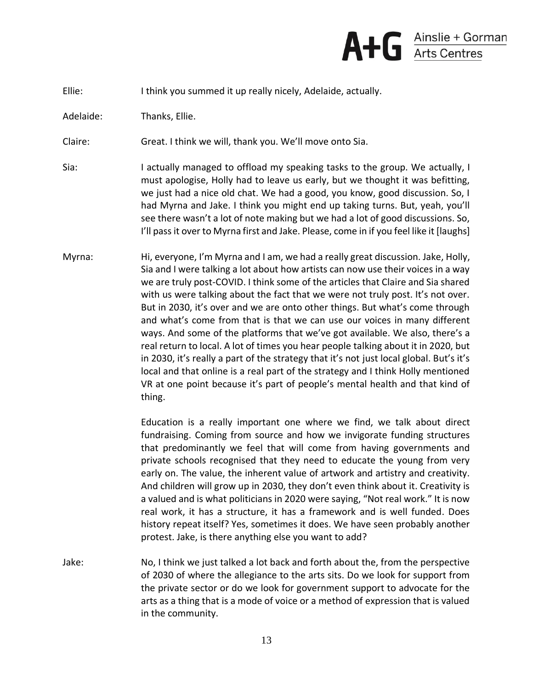

Ellie: I think you summed it up really nicely, Adelaide, actually.

Adelaide: Thanks, Ellie.

Claire: Great. I think we will, thank you. We'll move onto Sia.

- Sia: I actually managed to offload my speaking tasks to the group. We actually, I must apologise, Holly had to leave us early, but we thought it was befitting, we just had a nice old chat. We had a good, you know, good discussion. So, I had Myrna and Jake. I think you might end up taking turns. But, yeah, you'll see there wasn't a lot of note making but we had a lot of good discussions. So, I'll pass it over to Myrna first and Jake. Please, come in if you feel like it [laughs]
- Myrna: Hi, everyone, I'm Myrna and I am, we had a really great discussion. Jake, Holly, Sia and I were talking a lot about how artists can now use their voices in a way we are truly post-COVID. I think some of the articles that Claire and Sia shared with us were talking about the fact that we were not truly post. It's not over. But in 2030, it's over and we are onto other things. But what's come through and what's come from that is that we can use our voices in many different ways. And some of the platforms that we've got available. We also, there's a real return to local. A lot of times you hear people talking about it in 2020, but in 2030, it's really a part of the strategy that it's not just local global. But's it's local and that online is a real part of the strategy and I think Holly mentioned VR at one point because it's part of people's mental health and that kind of thing.

Education is a really important one where we find, we talk about direct fundraising. Coming from source and how we invigorate funding structures that predominantly we feel that will come from having governments and private schools recognised that they need to educate the young from very early on. The value, the inherent value of artwork and artistry and creativity. And children will grow up in 2030, they don't even think about it. Creativity is a valued and is what politicians in 2020 were saying, "Not real work." It is now real work, it has a structure, it has a framework and is well funded. Does history repeat itself? Yes, sometimes it does. We have seen probably another protest. Jake, is there anything else you want to add?

Jake: No, I think we just talked a lot back and forth about the, from the perspective of 2030 of where the allegiance to the arts sits. Do we look for support from the private sector or do we look for government support to advocate for the arts as a thing that is a mode of voice or a method of expression that is valued in the community.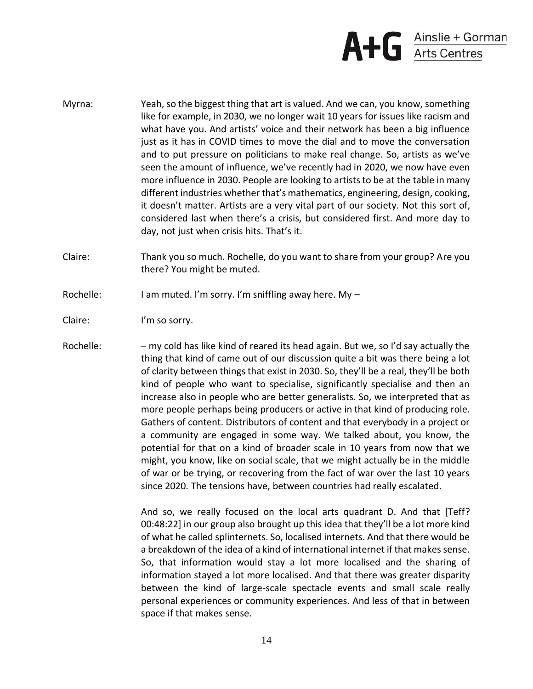

- Myrna: Yeah, so the biggest thing that art is valued. And we can, you know, something like for example, in 2030, we no longer wait 10 years for issues like racism and what have you. And artists' voice and their network has been a big influence just as it has in COVID times to move the dial and to move the conversation and to put pressure on politicians to make real change. So, artists as we've seen the amount of influence, we've recently had in 2020, we now have even more influence in 2030. People are looking to artists to be at the table in many different industries whether that's mathematics, engineering, design, cooking, it doesn't matter. Artists are a very vital part of our society. Not this sort of, considered last when there's a crisis, but considered first. And more day to day, not just when crisis hits. That's it.
- Claire: Thank you so much. Rochelle, do you want to share from your group? Are you there? You might be muted.
- Rochelle: I am muted. I'm sorry. I'm sniffling away here. My -
- Claire: I'm so sorry.
- Rochelle: my cold has like kind of reared its head again. But we, so I'd say actually the thing that kind of came out of our discussion quite a bit was there being a lot of clarity between things that exist in 2030. So, they'll be a real, they'll be both kind of people who want to specialise, significantly specialise and then an increase also in people who are better generalists. So, we interpreted that as more people perhaps being producers or active in that kind of producing role. Gathers of content. Distributors of content and that everybody in a project or a community are engaged in some way. We talked about, you know, the potential for that on a kind of broader scale in 10 years from now that we might, you know, like on social scale, that we might actually be in the middle of war or be trying, or recovering from the fact of war over the last 10 years since 2020. The tensions have, between countries had really escalated.

And so, we really focused on the local arts quadrant D. And that [Teff? 00:48:22] in our group also brought up this idea that they'll be a lot more kind of what he called splinternets. So, localised internets. And that there would be a breakdown of the idea of a kind of international internet if that makes sense. So, that information would stay a lot more localised and the sharing of information stayed a lot more localised. And that there was greater disparity between the kind of large-scale spectacle events and small scale really personal experiences or community experiences. And less of that in between space if that makes sense.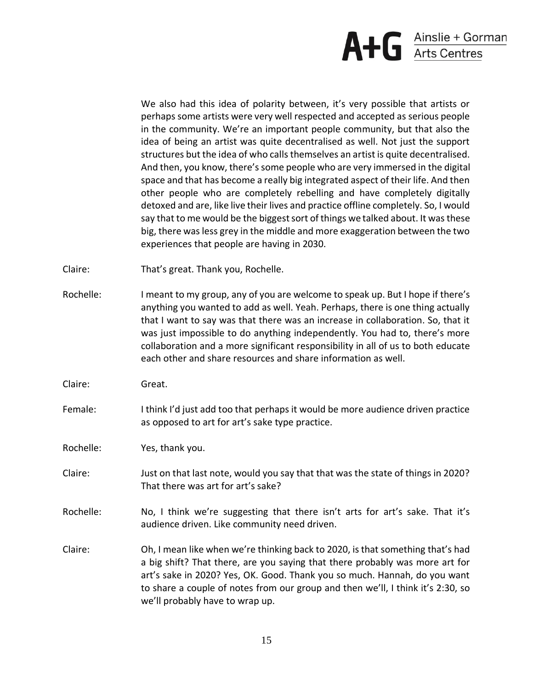

We also had this idea of polarity between, it's very possible that artists or perhaps some artists were very well respected and accepted as serious people in the community. We're an important people community, but that also the idea of being an artist was quite decentralised as well. Not just the support structures but the idea of who calls themselves an artist is quite decentralised. And then, you know, there's some people who are very immersed in the digital space and that has become a really big integrated aspect of their life. And then other people who are completely rebelling and have completely digitally detoxed and are, like live their lives and practice offline completely. So, I would say that to me would be the biggest sort of things we talked about. It was these big, there was less grey in the middle and more exaggeration between the two experiences that people are having in 2030.

- Claire: That's great. Thank you, Rochelle.
- Rochelle: I meant to my group, any of you are welcome to speak up. But I hope if there's anything you wanted to add as well. Yeah. Perhaps, there is one thing actually that I want to say was that there was an increase in collaboration. So, that it was just impossible to do anything independently. You had to, there's more collaboration and a more significant responsibility in all of us to both educate each other and share resources and share information as well.
- Claire: Great.
- Female: I think I'd just add too that perhaps it would be more audience driven practice as opposed to art for art's sake type practice.

Rochelle: Yes, thank you.

- Claire: Just on that last note, would you say that that was the state of things in 2020? That there was art for art's sake?
- Rochelle: No, I think we're suggesting that there isn't arts for art's sake. That it's audience driven. Like community need driven.
- Claire: Oh, I mean like when we're thinking back to 2020, is that something that's had a big shift? That there, are you saying that there probably was more art for art's sake in 2020? Yes, OK. Good. Thank you so much. Hannah, do you want to share a couple of notes from our group and then we'll, I think it's 2:30, so we'll probably have to wrap up.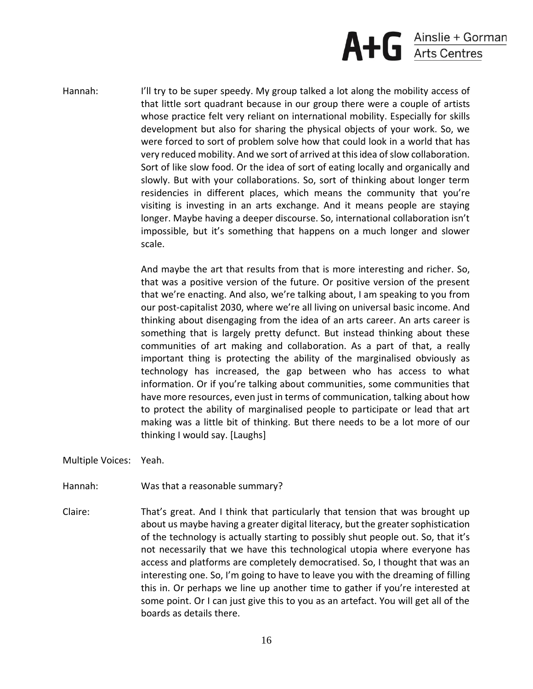

Hannah: I'll try to be super speedy. My group talked a lot along the mobility access of that little sort quadrant because in our group there were a couple of artists whose practice felt very reliant on international mobility. Especially for skills development but also for sharing the physical objects of your work. So, we were forced to sort of problem solve how that could look in a world that has very reduced mobility. And we sort of arrived at this idea of slow collaboration. Sort of like slow food. Or the idea of sort of eating locally and organically and slowly. But with your collaborations. So, sort of thinking about longer term residencies in different places, which means the community that you're visiting is investing in an arts exchange. And it means people are staying longer. Maybe having a deeper discourse. So, international collaboration isn't impossible, but it's something that happens on a much longer and slower scale.

> And maybe the art that results from that is more interesting and richer. So, that was a positive version of the future. Or positive version of the present that we're enacting. And also, we're talking about, I am speaking to you from our post-capitalist 2030, where we're all living on universal basic income. And thinking about disengaging from the idea of an arts career. An arts career is something that is largely pretty defunct. But instead thinking about these communities of art making and collaboration. As a part of that, a really important thing is protecting the ability of the marginalised obviously as technology has increased, the gap between who has access to what information. Or if you're talking about communities, some communities that have more resources, even just in terms of communication, talking about how to protect the ability of marginalised people to participate or lead that art making was a little bit of thinking. But there needs to be a lot more of our thinking I would say. [Laughs]

Multiple Voices: Yeah.

Hannah: Was that a reasonable summary?

Claire: That's great. And I think that particularly that tension that was brought up about us maybe having a greater digital literacy, but the greater sophistication of the technology is actually starting to possibly shut people out. So, that it's not necessarily that we have this technological utopia where everyone has access and platforms are completely democratised. So, I thought that was an interesting one. So, I'm going to have to leave you with the dreaming of filling this in. Or perhaps we line up another time to gather if you're interested at some point. Or I can just give this to you as an artefact. You will get all of the boards as details there.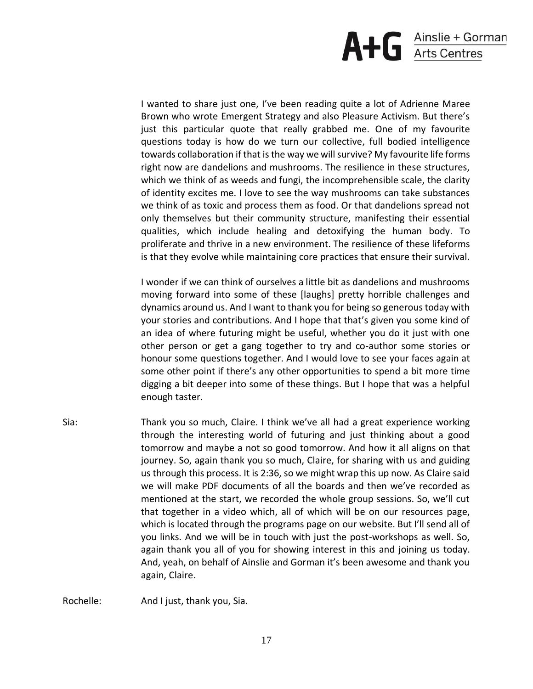

I wanted to share just one, I've been reading quite a lot of Adrienne Maree Brown who wrote Emergent Strategy and also Pleasure Activism. But there's just this particular quote that really grabbed me. One of my favourite questions today is how do we turn our collective, full bodied intelligence towards collaboration if that is the way we will survive? My favourite life forms right now are dandelions and mushrooms. The resilience in these structures, which we think of as weeds and fungi, the incomprehensible scale, the clarity of identity excites me. I love to see the way mushrooms can take substances we think of as toxic and process them as food. Or that dandelions spread not only themselves but their community structure, manifesting their essential qualities, which include healing and detoxifying the human body. To proliferate and thrive in a new environment. The resilience of these lifeforms is that they evolve while maintaining core practices that ensure their survival.

I wonder if we can think of ourselves a little bit as dandelions and mushrooms moving forward into some of these [laughs] pretty horrible challenges and dynamics around us. And I want to thank you for being so generous today with your stories and contributions. And I hope that that's given you some kind of an idea of where futuring might be useful, whether you do it just with one other person or get a gang together to try and co-author some stories or honour some questions together. And I would love to see your faces again at some other point if there's any other opportunities to spend a bit more time digging a bit deeper into some of these things. But I hope that was a helpful enough taster.

Sia: Thank you so much, Claire. I think we've all had a great experience working through the interesting world of futuring and just thinking about a good tomorrow and maybe a not so good tomorrow. And how it all aligns on that journey. So, again thank you so much, Claire, for sharing with us and guiding us through this process. It is 2:36, so we might wrap this up now. As Claire said we will make PDF documents of all the boards and then we've recorded as mentioned at the start, we recorded the whole group sessions. So, we'll cut that together in a video which, all of which will be on our resources page, which is located through the programs page on our website. But I'll send all of you links. And we will be in touch with just the post-workshops as well. So, again thank you all of you for showing interest in this and joining us today. And, yeah, on behalf of Ainslie and Gorman it's been awesome and thank you again, Claire.

Rochelle: And I just, thank you, Sia.